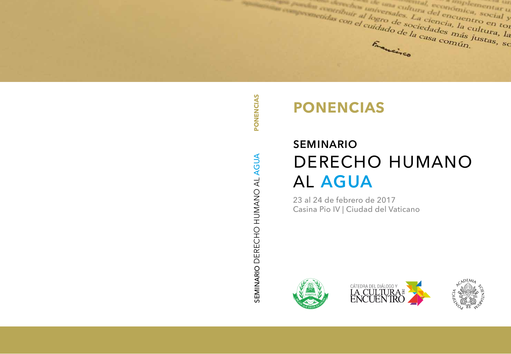a activite al logro de sociedades ha cu antique de l'antique de l'encuentre en toute de l'antique de l'encuentre et de l'encuentre et de l'antique de la ciencia, la cultura, la Francisco

PONENCIAS SEMINARIO DERECHO HUMANO AL AGUA **PONENCIAS**SEMINARIO DERECHO HUMANO AL AGUA

# **ponencias**

# seminario DERECHO HUMANO al agua

23 al 24 de febrero de 2017 Casina Pio IV | Ciudad del Vaticano





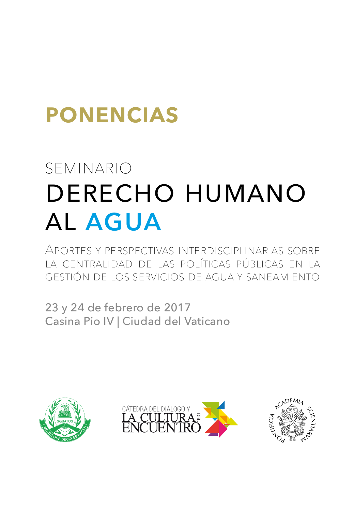# **ponencias**

# seminario derecho humano al agua

Aportes y perspectivas interdisciplinarias sobre la centralidad de las políticas públicas en la gestión de los servicios de agua y saneamiento

23 y 24 de febrero de 2017 Casina Pio IV | Ciudad del Vaticano





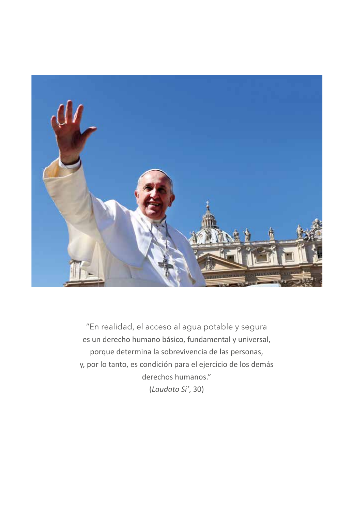

"En realidad, el acceso al agua potable y segura es un derecho humano básico, fundamental y universal, porque determina la sobrevivencia de las personas, y, por lo tanto, es condición para el ejercicio de los demás derechos humanos." (*Laudato Si'*, 30)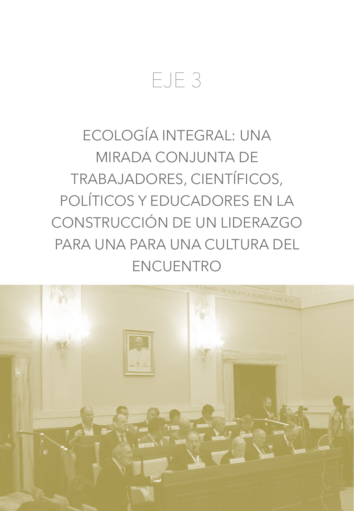## EJE 3

### ECOLOGÍA INTEGRAL: UNA MIRADA CONJUNTA DE TRABAJADORES, CIENTÍFICOS, POLÍTICOS Y EDUCADORES EN LA CONSTRUCCIÓN DE UN LIDERAZGO PARA UNA PARA UNA CULTURA DEL ENCUENTRO

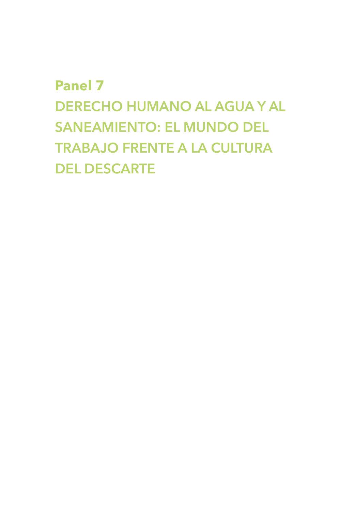### **Panel 7 DERECHO HUMANO AL AGUA Y AL SANEAMIENTO: EL MUNDO DEL TRABAJO FRENTE A LA CULTURA DEL DESCARTE**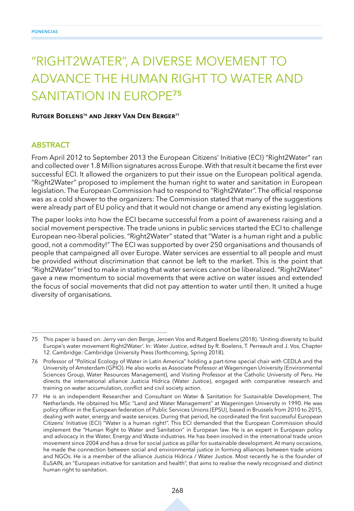### "RIGHT2WATER", A DIVERSE MOVEMENT TO ADVANCE THE HUMAN RIGHT TO WATER AND SANITATION IN EUROPE**<sup>75</sup>**

#### **Rutger Boelens76 and Jerry Van Den Berger77**

#### **ABSTRACT**

From April 2012 to September 2013 the European Citizens' Initiative (ECI) "Right2Water" ran and collected over 1.8 Million signatures across Europe. With that result it became the first ever successful ECI. It allowed the organizers to put their issue on the European political agenda. "Right2Water" proposed to implement the human right to water and sanitation in European legislation. The European Commission had to respond to "Right2Water". The official response was as a cold shower to the organizers: The Commission stated that many of the suggestions were already part of EU policy and that it would not change or amend any existing legislation.

The paper looks into how the ECI became successful from a point of awareness raising and a social movement perspective. The trade unions in public services started the ECI to challenge European neo-liberal policies. "Right2Water" stated that "Water is a human right and a public good, not a commodity!" The ECI was supported by over 250 organisations and thousands of people that campaigned all over Europe. Water services are essential to all people and must be provided without discrimination that cannot be left to the market. This is the point that "Right2Water" tried to make in stating that water services cannot be liberalized. "Right2Water" gave a new momentum to social movements that were active on water issues and extended the focus of social movements that did not pay attention to water until then. It united a huge diversity of organisations.

<sup>75</sup> This paper is based on: Jerry van den Berge, Jeroen Vos and Rutgerd Boelens (2018). 'Uniting diversity to build Europe's water movement Right2Water'. In: *Water Justice*, edited by R. Boelens, T. Perreault and J. Vos, Chapter 12. Cambridge: Cambridge University Press (forthcoming, Spring 2018).

<sup>76</sup> Professor of "Political Ecology of Water in Latin America" holding a part-time special chair with CEDLA and the University of Amsterdam (GPIO). He also works as Associate Professor at Wageningen University (Environmental Sciences Group, Water Resources Management), and Visiting Professor at the Catholic University of Peru. He directs the international alliance Justicia Hídrica (Water Justice), engaged with comparative research and training on water accumulation, conflict and civil society action.

<sup>77</sup> He is an independent Researcher and Consultant on Water & Sanitation for Sustainable Development, The Netherlands. He obtained his MSc "Land and Water Management" at Wageningen University in 1990. He was policy officer in the European federation of Public Services Unions (EPSU), based in Brussels from 2010 to 2015, dealing with water, energy and waste services. During that period, he coordinated the first successful European Citizens' Initiative (ECI) "Water is a human right!". This ECI demanded that the European Commission should implement the "Human Right to Water and Sanitation" in European law. He is an expert in European policy and advocacy in the Water, Energy and Waste industries. He has been involved in the international trade union movement since 2004 and has a drive for social justice as pillar for sustainable development. At many occasions, he made the connection between social and environmental justice in forming alliances between trade unions and NGOs. He is a member of the alliance Justicia Hídrica / Water Justice. Most recently he is the founder of EuSAIN, an "European initiative for sanitation and health", that aims to realise the newly recognised and distinct human right to sanitation.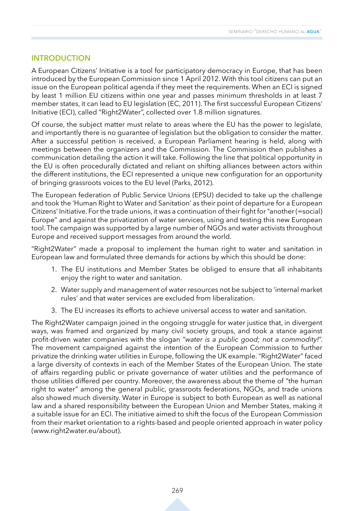#### **INTRODUCTION**

A European Citizens' Initiative is a tool for participatory democracy in Europe, that has been introduced by the European Commission since 1 April 2012. With this tool citizens can put an issue on the European political agenda if they meet the requirements. When an ECI is signed by least 1 million EU citizens within one year and passes minimum thresholds in at least 7 member states, it can lead to EU legislation (EC, 2011). The first successful European Citizens' Initiative (ECI), called "Right2Water", collected over 1.8 million signatures.

Of course, the subject matter must relate to areas where the EU has the power to legislate, and importantly there is no guarantee of legislation but the obligation to consider the matter. After a successful petition is received, a European Parliament hearing is held, along with meetings between the organizers and the Commission. The Commission then publishes a communication detailing the action it will take. Following the line that political opportunity in the EU is often procedurally dictated and reliant on shifting alliances between actors within the different institutions, the ECI represented a unique new configuration for an opportunity of bringing grassroots voices to the EU level (Parks, 2012).

The European federation of Public Service Unions (EPSU) decided to take up the challenge and took the 'Human Right to Water and Sanitation' as their point of departure for a European Citizens' Initiative. For the trade unions, it was a continuation of their fight for "another (=social) Europe" and against the privatization of water services, using and testing this new European tool. The campaign was supported by a large number of NGOs and water activists throughout Europe and received support messages from around the world.

"Right2Water" made a proposal to implement the human right to water and sanitation in European law and formulated three demands for actions by which this should be done:

- 1. The EU institutions and Member States be obliged to ensure that all inhabitants enjoy the right to water and sanitation.
- 2. Water supply and management of water resources not be subject to 'internal market rules' and that water services are excluded from liberalization.
- 3. The EU increases its efforts to achieve universal access to water and sanitation.

The Right2Water campaign joined in the ongoing struggle for water justice that, in divergent ways, was framed and organized by many civil society groups, and took a stance against profit-driven water companies with the slogan "*water is a public good; not a commodity!*". The movement campaigned against the intention of the European Commission to further privatize the drinking water utilities in Europe, following the UK example. "Right2Water" faced a large diversity of contexts in each of the Member States of the European Union. The state of affairs regarding public or private governance of water utilities and the performance of those utilities differed per country. Moreover, the awareness about the theme of "the human right to water" among the general public, grassroots federations, NGOs, and trade unions also showed much diversity. Water in Europe is subject to both European as well as national law and a shared responsibility between the European Union and Member States, making it a suitable issue for an ECI. The initiative aimed to shift the focus of the European Commission from their market orientation to a rights-based and people oriented approach in water policy (www.right2water.eu/about).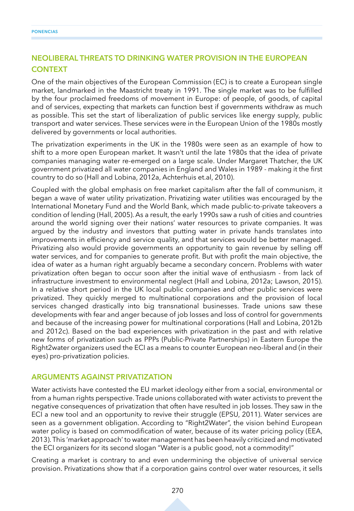#### **NEOLIBERAL THREATS TO DRINKING WATER PROVISION IN THE EUROPEAN CONTEXT**

One of the main objectives of the European Commission (EC) is to create a European single market, landmarked in the Maastricht treaty in 1991. The single market was to be fulfilled by the four proclaimed freedoms of movement in Europe: of people, of goods, of capital and of services, expecting that markets can function best if governments withdraw as much as possible. This set the start of liberalization of public services like energy supply, public transport and water services. These services were in the European Union of the 1980s mostly delivered by governments or local authorities.

The privatization experiments in the UK in the 1980s were seen as an example of how to shift to a more open European market. It wasn't until the late 1980s that the idea of private companies managing water re-emerged on a large scale. Under Margaret Thatcher, the UK government privatized all water companies in England and Wales in 1989 - making it the first country to do so (Hall and Lobina, 2012a, Achterhuis et.al, 2010).

Coupled with the global emphasis on free market capitalism after the fall of communism, it began a wave of water utility privatization. Privatizing water utilities was encouraged by the International Monetary Fund and the World Bank, which made public-to-private takeovers a condition of lending (Hall, 2005). As a result, the early 1990s saw a rush of cities and countries around the world signing over their nations' water resources to private companies. It was argued by the industry and investors that putting water in private hands translates into improvements in efficiency and service quality, and that services would be better managed. Privatizing also would provide governments an opportunity to gain revenue by selling off water services, and for companies to generate profit. But with profit the main objective, the idea of water as a human right arguably became a secondary concern. Problems with water privatization often began to occur soon after the initial wave of enthusiasm - from lack of infrastructure investment to environmental neglect (Hall and Lobina, 2012a; Lawson, 2015). In a relative short period in the UK local public companies and other public services were privatized. They quickly merged to multinational corporations and the provision of local services changed drastically into big transnational businesses. Trade unions saw these developments with fear and anger because of job losses and loss of control for governments and because of the increasing power for multinational corporations (Hall and Lobina, 2012b and 2012c). Based on the bad experiences with privatization in the past and with relative new forms of privatization such as PPPs (Public-Private Partnerships) in Eastern Europe the Right2water organizers used the ECI as a means to counter European neo-liberal and (in their eyes) pro-privatization policies.

#### **ARGUMENTS AGAINST PRIVATIZATION**

Water activists have contested the EU market ideology either from a social, environmental or from a human rights perspective. Trade unions collaborated with water activists to prevent the negative consequences of privatization that often have resulted in job losses. They saw in the ECI a new tool and an opportunity to revive their struggle (EPSU, 2011). Water services are seen as a government obligation. According to "Right2Water", the vision behind European water policy is based on commodification of water, because of its water pricing policy (EEA, 2013). This 'market approach' to water management has been heavily criticized and motivated the ECI organizers for its second slogan "Water is a public good, not a commodity!"

Creating a market is contrary to and even undermining the objective of universal service provision. Privatizations show that if a corporation gains control over water resources, it sells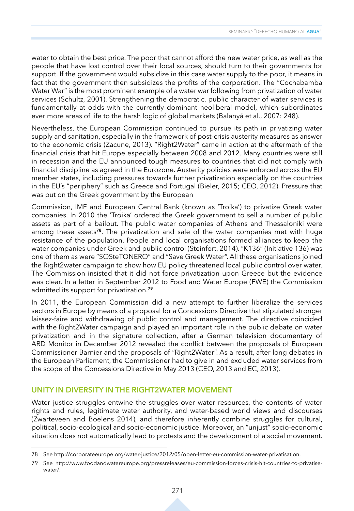water to obtain the best price. The poor that cannot afford the new water price, as well as the people that have lost control over their local sources, should turn to their governments for support. If the government would subsidize in this case water supply to the poor, it means in fact that the government then subsidizes the profits of the corporation. The "Cochabamba Water War" is the most prominent example of a water war following from privatization of water services (Schultz, 2001). Strengthening the democratic, public character of water services is fundamentally at odds with the currently dominant neoliberal model, which subordinates ever more areas of life to the harsh logic of global markets (Balanyá et al., 2007: 248).

Nevertheless, the European Commission continued to pursue its path in privatizing water supply and sanitation, especially in the framework of post-crisis austerity measures as answer to the economic crisis (Zacune, 2013). "Right2Water" came in action at the aftermath of the financial crisis that hit Europe especially between 2008 and 2012. Many countries were still in recession and the EU announced tough measures to countries that did not comply with financial discipline as agreed in the Eurozone. Austerity policies were enforced across the EU member states, including pressures towards further privatization especially on the countries in the EU's "periphery" such as Greece and Portugal (Bieler, 2015; CEO, 2012). Pressure that was put on the Greek government by the European

Commission, IMF and European Central Bank (known as 'Troika') to privatize Greek water companies. In 2010 the 'Troika' ordered the Greek government to sell a number of public assets as part of a bailout. The public water companies of Athens and Thessaloniki were among these assets**<sup>78</sup>**. The privatization and sale of the water companies met with huge resistance of the population. People and local organisations formed alliances to keep the water companies under Greek and public control (Steinfort, 2014). "K136" (Initiative 136) was one of them as were "SOSteTONERO" and "Save Greek Water". All these organisations joined the Right2water campaign to show how EU policy threatened local public control over water. The Commission insisted that it did not force privatization upon Greece but the evidence was clear. In a letter in September 2012 to Food and Water Europe (FWE) the Commission admitted its support for privatization.**<sup>79</sup>**

In 2011, the European Commission did a new attempt to further liberalize the services sectors in Europe by means of a proposal for a Concessions Directive that stipulated stronger laissez-faire and withdrawing of public control and management. The directive coincided with the Right2Water campaign and played an important role in the public debate on water privatization and in the signature collection, after a German television documentary of ARD Monitor in December 2012 revealed the conflict between the proposals of European Commissioner Barnier and the proposals of "Right2Water". As a result, after long debates in the European Parliament, the Commissioner had to give in and excluded water services from the scope of the Concessions Directive in May 2013 (CEO, 2013 and EC, 2013).

#### **UNITY IN DIVERSITY IN THE RIGHT2WATER MOVEMENT**

Water justice struggles entwine the struggles over water resources, the contents of water rights and rules, legitimate water authority, and water-based world views and discourses (Zwarteveen and Boelens 2014), and therefore inherently combine struggles for cultural, political, socio-ecological and socio-economic justice. Moreover, an "unjust" socio-economic situation does not automatically lead to protests and the development of a social movement.

<sup>78</sup> See http://corporateeurope.org/water-justice/2012/05/open-letter-eu-commission-water-privatisation.

<sup>79</sup> See http://www.foodandwatereurope.org/pressreleases/eu-commission-forces-crisis-hit-countries-to-privatisewater/.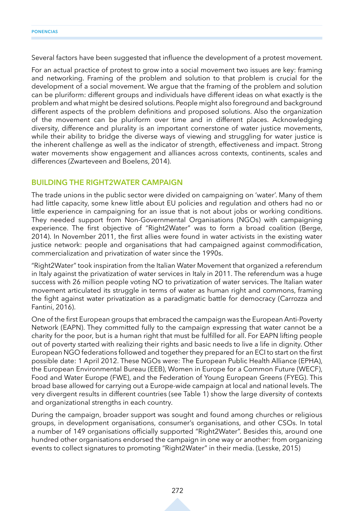Several factors have been suggested that influence the development of a protest movement.

For an actual practice of protest to grow into a social movement two issues are key: framing and networking. Framing of the problem and solution to that problem is crucial for the development of a social movement. We argue that the framing of the problem and solution can be pluriform: different groups and individuals have different ideas on what exactly is the problem and what might be desired solutions. People might also foreground and background different aspects of the problem definitions and proposed solutions. Also the organization of the movement can be pluriform over time and in different places. Acknowledging diversity, difference and plurality is an important cornerstone of water justice movements, while their ability to bridge the diverse ways of viewing and struggling for water justice is the inherent challenge as well as the indicator of strength, effectiveness and impact. Strong water movements show engagement and alliances across contexts, continents, scales and differences (Zwarteveen and Boelens, 2014).

#### **BUILDING THE RIGHT2WATER CAMPAIGN**

The trade unions in the public sector were divided on campaigning on 'water'. Many of them had little capacity, some knew little about EU policies and regulation and others had no or little experience in campaigning for an issue that is not about jobs or working conditions. They needed support from Non-Governmental Organisations (NGOs) with campaigning experience. The first objective of "Right2Water" was to form a broad coalition (Berge, 2014). In November 2011, the first allies were found in water activists in the existing water justice network: people and organisations that had campaigned against commodification, commercialization and privatization of water since the 1990s.

"Right2Water" took inspiration from the Italian Water Movement that organized a referendum in Italy against the privatization of water services in Italy in 2011. The referendum was a huge success with 26 million people voting NO to privatization of water services. The Italian water movement articulated its struggle in terms of water as human right and commons, framing the fight against water privatization as a paradigmatic battle for democracy (Carrozza and Fantini, 2016).

One of the first European groups that embraced the campaign was the European Anti-Poverty Network (EAPN). They committed fully to the campaign expressing that water cannot be a charity for the poor, but is a human right that must be fulfilled for all. For EAPN lifting people out of poverty started with realizing their rights and basic needs to live a life in dignity. Other European NGO federations followed and together they prepared for an ECI to start on the first possible date: 1 April 2012. These NGOs were: The European Public Health Alliance (EPHA), the European Environmental Bureau (EEB), Women in Europe for a Common Future (WECF), Food and Water Europe (FWE), and the Federation of Young European Greens (FYEG). This broad base allowed for carrying out a Europe-wide campaign at local and national levels. The very divergent results in different countries (see Table 1) show the large diversity of contexts and organizational strengths in each country.

During the campaign, broader support was sought and found among churches or religious groups, in development organisations, consumer's organisations, and other CSOs. In total a number of 149 organisations officially supported "Right2Water". Besides this, around one hundred other organisations endorsed the campaign in one way or another: from organizing events to collect signatures to promoting "Right2Water" in their media. (Lesske, 2015)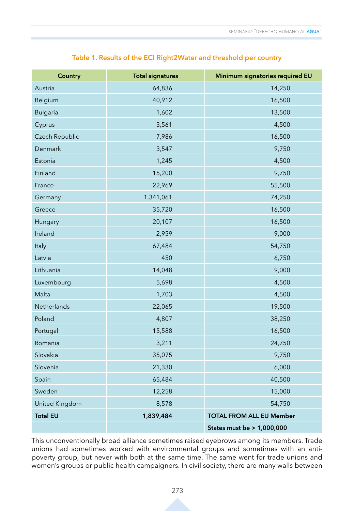|  |  | Table 1. Results of the ECI Right2Water and threshold per country |
|--|--|-------------------------------------------------------------------|
|--|--|-------------------------------------------------------------------|

| <b>Country</b>        | <b>Total signatures</b> | Minimum signatories required EU |
|-----------------------|-------------------------|---------------------------------|
| Austria               | 64,836                  | 14,250                          |
| Belgium               | 40,912                  | 16,500                          |
| <b>Bulgaria</b>       | 1,602                   | 13,500                          |
| Cyprus                | 3,561                   | 4,500                           |
| Czech Republic        | 7,986                   | 16,500                          |
| Denmark               | 3,547                   | 9,750                           |
| Estonia               | 1,245                   | 4,500                           |
| Finland               | 15,200                  | 9,750                           |
| France                | 22,969                  | 55,500                          |
| Germany               | 1,341,061               | 74,250                          |
| Greece                | 35,720                  | 16,500                          |
| Hungary               | 20,107                  | 16,500                          |
| Ireland               | 2,959                   | 9,000                           |
| Italy                 | 67,484                  | 54,750                          |
| Latvia                | 450                     | 6,750                           |
| Lithuania             | 14,048                  | 9,000                           |
| Luxembourg            | 5,698                   | 4,500                           |
| Malta                 | 1,703                   | 4,500                           |
| Netherlands           | 22,065                  | 19,500                          |
| Poland                | 4,807                   | 38,250                          |
| Portugal              | 15,588                  | 16,500                          |
| Romania               | 3,211                   | 24,750                          |
| Slovakia              | 35,075                  | 9,750                           |
| Slovenia              | 21,330                  | 6,000                           |
| Spain                 | 65,484                  | 40,500                          |
| Sweden                | 12,258                  | 15,000                          |
| <b>United Kingdom</b> | 8,578                   | 54,750                          |
| <b>Total EU</b>       | 1,839,484               | <b>TOTAL FROM ALL EU Member</b> |
|                       |                         | States must be > 1,000,000      |

This unconventionally broad alliance sometimes raised eyebrows among its members. Trade unions had sometimes worked with environmental groups and sometimes with an antipoverty group, but never with both at the same time. The same went for trade unions and women's groups or public health campaigners. In civil society, there are many walls between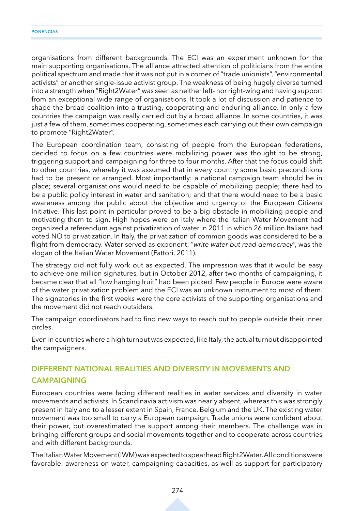organisations from different backgrounds. The ECI was an experiment unknown for the main supporting organisations. The alliance attracted attention of politicians from the entire political spectrum and made that it was not put in a corner of "trade unionists", "environmental activists" or another single-issue activist group. The weakness of being hugely diverse turned into a strength when "Right2Water" was seen as neither left- nor right-wing and having support from an exceptional wide range of organisations. It took a lot of discussion and patience to shape the broad coalition into a trusting, cooperating and enduring alliance. In only a few countries the campaign was really carried out by a broad alliance. In some countries, it was just a few of them, sometimes cooperating, sometimes each carrying out their own campaign to promote "Right2Water".

The European coordination team, consisting of people from the European federations, decided to focus on a few countries were mobilizing power was thought to be strong, triggering support and campaigning for three to four months. After that the focus could shift to other countries, whereby it was assumed that in every country some basic preconditions had to be present or arranged. Most importantly: a national campaign team should be in place; several organisations would need to be capable of mobilizing people; there had to be a public policy interest in water and sanitation; and that there would need to be a basic awareness among the public about the objective and urgency of the European Citizens Initiative. This last point in particular proved to be a big obstacle in mobilizing people and motivating them to sign. High hopes were on Italy where the Italian Water Movement had organized a referendum against privatization of water in 2011 in which 26 million Italians had voted NO to privatization. In Italy, the privatization of common goods was considered to be a flight from democracy. Water served as exponent: "*write water but read democracy*", was the slogan of the Italian Water Movement (Fattori, 2011).

The strategy did not fully work out as expected. The impression was that it would be easy to achieve one million signatures, but in October 2012, after two months of campaigning, it became clear that all "low hanging fruit" had been picked. Few people in Europe were aware of the water privatization problem and the ECI was an unknown instrument to most of them. The signatories in the first weeks were the core activists of the supporting organisations and the movement did not reach outsiders.

The campaign coordinators had to find new ways to reach out to people outside their inner circles.

Even in countries where a high turnout was expected, like Italy, the actual turnout disappointed the campaigners.

#### **DIFFERENT NATIONAL REALITIES AND DIVERSITY IN MOVEMENTS AND CAMPAIGNING**

European countries were facing different realities in water services and diversity in water movements and activists. In Scandinavia activism was nearly absent, whereas this was strongly present in Italy and to a lesser extent in Spain, France, Belgium and the UK. The existing water movement was too small to carry a European campaign. Trade unions were confident about their power, but overestimated the support among their members. The challenge was in bringing different groups and social movements together and to cooperate across countries and with different backgrounds.

The Italian Water Movement (IWM) was expected to spearhead Right2Water. All conditions were favorable: awareness on water, campaigning capacities, as well as support for participatory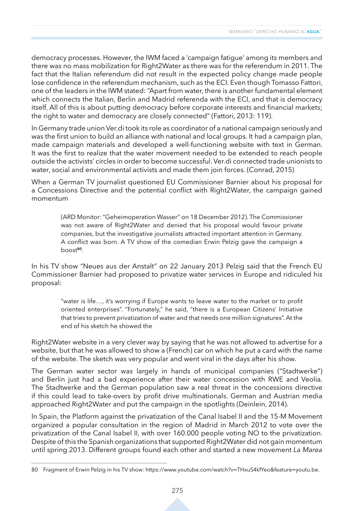democracy processes. However, the IWM faced a 'campaign fatigue' among its members and there was no mass mobilization for Right2Water as there was for the referendum in 2011. The fact that the Italian referendum did not result in the expected policy change made people lose confidence in the referendum mechanism, such as the ECI. Even though Tomasso Fattori, one of the leaders in the IWM stated: "Apart from water, there is another fundamental element which connects the Italian, Berlin and Madrid referenda with the ECI, and that is democracy itself. All of this is about putting democracy before corporate interests and financial markets; the right to water and democracy are closely connected" (Fattori, 2013: 119).

In Germany trade union Ver.di took its role as coordinator of a national campaign seriously and was the first union to build an alliance with national and local groups. It had a campaign plan, made campaign materials and developed a well-functioning website with text in German. It was the first to realize that the water movement needed to be extended to reach people outside the activists' circles in order to become successful. Ver.di connected trade unionists to water, social and environmental activists and made them join forces. (Conrad, 2015)

When a German TV journalist questioned EU Commissioner Barnier about his proposal for a Concessions Directive and the potential conflict with Right2Water, the campaign gained momentum

(ARD Monitor: "Geheimoperation Wasser" on 18 December 2012). The Commissioner was not aware of Right2Water and denied that his proposal would favour private companies, but the investigative journalists attracted important attention in Germany. A conflict was born. A TV show of the comedian Erwin Pelzig gave the campaign a boost**<sup>80</sup>**.

In his TV show "Neues aus der Anstalt" on 22 January 2013 Pelzig said that the French EU Commissioner Barnier had proposed to privatize water services in Europe and ridiculed his proposal:

"water is life…, it's worrying if Europe wants to leave water to the market or to profit oriented enterprises". "Fortunately," he said, "there is a European Citizens' Initiative that tries to prevent privatization of water and that needs one million signatures". At the end of his sketch he showed the

Right2Water website in a very clever way by saying that he was not allowed to advertise for a website, but that he was allowed to show a (French) car on which he put a card with the name of the website. The sketch was very popular and went viral in the days after his show.

The German water sector was largely in hands of municipal companies ("Stadtwerke") and Berlin just had a bad experience after their water concession with RWE and Veolia. The Stadtwerke and the German population saw a real threat in the concessions directive if this could lead to take-overs by profit drive multinationals. German and Austrian media approached Right2Water and put the campaign in the spotlights (Deinlein, 2014).

In Spain, the Platform against the privatization of the Canal Isabel II and the 15-M Movement organized a popular consultation in the region of Madrid in March 2012 to vote over the privatization of the Canal Isabel II, with over 160.000 people voting NO to the privatization. Despite of this the Spanish organizations that supported Right2Water did not gain momentum until spring 2013. Different groups found each other and started a new movement *La Marea* 

<sup>80</sup> Fragment of Erwin Pelzig in his TV show: https://www.youtube.com/watch?v=THxuS4kfYeo&feature=youtu.be.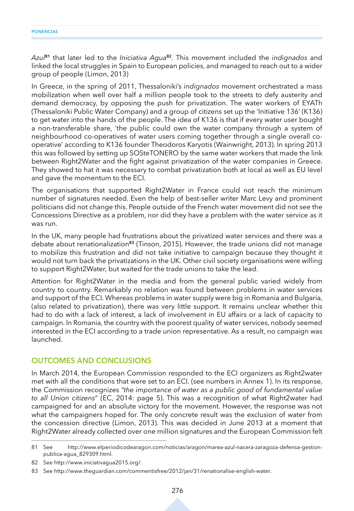*Azul***<sup>81</sup>** that later led to the *Iniciativa Agua***<sup>82</sup>***.* This movement included the *indignados* and linked the local struggles in Spain to European policies, and managed to reach out to a wider group of people (Limon, 2013)

In Greece, in the spring of 2011, Thessaloniki's *indignados* movement orchestrated a mass mobilization when well over half a million people took to the streets to defy austerity and demand democracy, by opposing the push for privatization. The water workers of EYATh (Thessaloniki Public Water Company) and a group of citizens set up the 'Initiative 136' (K136) to get water into the hands of the people. The idea of K136 is that if every water user bought a non-transferable share, 'the public could own the water company through a system of neighbourhood co-operatives of water users coming together through a single overall cooperative' according to K136 founder Theodoros Karyotis (Wainwright, 2013). In spring 2013 this was followed by setting up SOSteTONERO by the same water workers that made the link between Right2Water and the fight against privatization of the water companies in Greece. They showed to hat it was necessary to combat privatization both at local as well as EU level and gave the momentum to the ECI.

The organisations that supported Right2Water in France could not reach the minimum number of signatures needed. Even the help of best-seller writer Marc Levy and prominent politicians did not change this. People outside of the French water movement did not see the Concessions Directive as a problem, nor did they have a problem with the water service as it was run.

In the UK, many people had frustrations about the privatized water services and there was a debate about renationalization**<sup>83</sup>** (Tinson, 2015). However, the trade unions did not manage to mobilize this frustration and did not take initiative to campaign because they thought it would not turn back the privatizations in the UK. Other civil society organisations were willing to support Right2Water, but waited for the trade unions to take the lead.

Attention for Right2Water in the media and from the general public varied widely from country to country. Remarkably no relation was found between problems in water services and support of the ECI. Whereas problems in water supply were big in Romania and Bulgaria, (also related to privatization), there was very little support. It remains unclear whether this had to do with a lack of interest, a lack of involvement in EU affairs or a lack of capacity to campaign. In Romania, the country with the poorest quality of water services, nobody seemed interested in the ECI according to a trade union representative. As a result, no campaign was launched.

#### **OUTCOMES AND CONCLUSIONS**

In March 2014, the European Commission responded to the ECI organizers as Right2water met with all the conditions that were set to an ECI. (see numbers in Annex 1). In its response, the Commission recognizes *"the importance of water as a public good of fundamental value to all Union citizens*" (EC, 2014: page 5). This was a recognition of what Right2water had campaigned for and an absolute victory for the movement. However, the response was not what the campaigners hoped for. The only concrete result was the exclusion of water from the concession directive (Limon, 2013). This was decided in June 2013 at a moment that Right2Water already collected over one million signatures and the European Commission felt

<sup>81</sup> See http://www.elperiodicodearagon.com/noticias/aragon/marea-azul-nacera-zaragoza-defensa-gestionpublica-agua\_829309.html.

<sup>82</sup> See http://www.iniciativagua2015.org/.

<sup>83</sup> See http://www.theguardian.com/commentisfree/2012/jan/31/renationalise-english-water.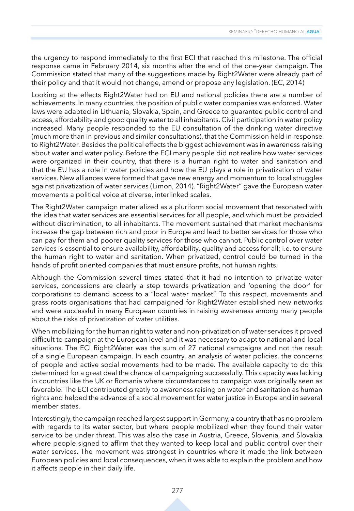the urgency to respond immediately to the first ECI that reached this milestone. The official response came in February 2014, six months after the end of the one-year campaign. The Commission stated that many of the suggestions made by Right2Water were already part of their policy and that it would not change, amend or propose any legislation. (EC, 2014)

Looking at the effects Right2Water had on EU and national policies there are a number of achievements. In many countries, the position of public water companies was enforced. Water laws were adapted in Lithuania, Slovakia, Spain, and Greece to guarantee public control and access, affordability and good quality water to all inhabitants. Civil participation in water policy increased. Many people responded to the EU consultation of the drinking water directive (much more than in previous and similar consultations), that the Commission held in response to Right2Water. Besides the political effects the biggest achievement was in awareness raising about water and water policy. Before the ECI many people did not realize how water services were organized in their country, that there is a human right to water and sanitation and that the EU has a role in water policies and how the EU plays a role in privatization of water services. New alliances were formed that gave new energy and momentum to local struggles against privatization of water services (Limon, 2014). "Right2Water" gave the European water movements a political voice at diverse, interlinked scales.

The Right2Water campaign materialized as a pluriform social movement that resonated with the idea that water services are essential services for all people, and which must be provided without discrimination, to all inhabitants. The movement sustained that market mechanisms increase the gap between rich and poor in Europe and lead to better services for those who can pay for them and poorer quality services for those who cannot. Public control over water services is essential to ensure availability, affordability, quality and access for all; i.e. to ensure the human right to water and sanitation. When privatized, control could be turned in the hands of profit oriented companies that must ensure profits, not human rights.

Although the Commission several times stated that it had no intention to privatize water services, concessions are clearly a step towards privatization and 'opening the door' for corporations to demand access to a "local water market". To this respect, movements and grass roots organisations that had campaigned for Right2Water established new networks and were successful in many European countries in raising awareness among many people about the risks of privatization of water utilities.

When mobilizing for the human right to water and non-privatization of water services it proved difficult to campaign at the European level and it was necessary to adapt to national and local situations. The ECI Right2Water was the sum of 27 national campaigns and not the result of a single European campaign. In each country, an analysis of water policies, the concerns of people and active social movements had to be made. The available capacity to do this determined for a great deal the chance of campaigning successfully. This capacity was lacking in countries like the UK or Romania where circumstances to campaign was originally seen as favorable. The ECI contributed greatly to awareness raising on water and sanitation as human rights and helped the advance of a social movement for water justice in Europe and in several member states.

Interestingly, the campaign reached largest support in Germany, a country that has no problem with regards to its water sector, but where people mobilized when they found their water service to be under threat. This was also the case in Austria, Greece, Slovenia, and Slovakia where people signed to affirm that they wanted to keep local and public control over their water services. The movement was strongest in countries where it made the link between European policies and local consequences, when it was able to explain the problem and how it affects people in their daily life.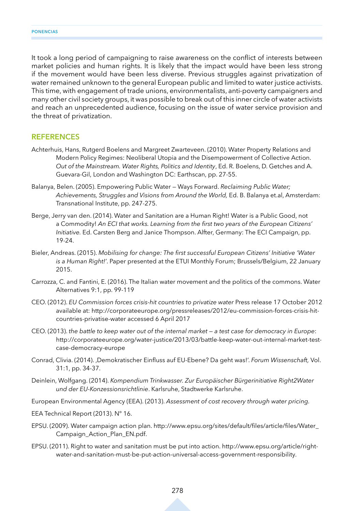It took a long period of campaigning to raise awareness on the conflict of interests between market policies and human rights. It is likely that the impact would have been less strong if the movement would have been less diverse. Previous struggles against privatization of water remained unknown to the general European public and limited to water justice activists. This time, with engagement of trade unions, environmentalists, anti-poverty campaigners and many other civil society groups, it was possible to break out of this inner circle of water activists and reach an unprecedented audience, focusing on the issue of water service provision and the threat of privatization.

#### **REFERENCES**

- Achterhuis, Hans, Rutgerd Boelens and Margreet Zwarteveen. (2010). Water Property Relations and Modern Policy Regimes: Neoliberal Utopia and the Disempowerment of Collective Action. *Out of the Mainstream. Water Rights, Politics and Identity*, Ed. R. Boelens, D. Getches and A. Guevara-Gil, London and Washington DC: Earthscan, pp. 27-55.
- Balanya, Belen. (2005). Empowering Public Water Ways Forward. *Reclaiming Public Water; Achievements, Struggles and Visions from Around the World,* Ed. B. Balanya et.al, Amsterdam: Transnational Institute, pp. 247-275.
- Berge, Jerry van den. (2014). Water and Sanitation are a Human Right! Water is a Public Good, not a Commodity! *An ECI that works. Learning from the first two years of the European Citizens' Initiative.* Ed. Carsten Berg and Janice Thompson. Alfter, Germany: The ECI Campaign, pp. 19-24.
- Bieler, Andreas. (2015). *Mobilising for change: The first successful European Citizens' Initiative 'Water is a Human Right!'*. Paper presented at the ETUI Monthly Forum; Brussels/Belgium, 22 January 2015.
- Carrozza, C. and Fantini, E. (2016). The Italian water movement and the politics of the commons. Water Alternatives 9:1, pp. 99-119
- CEO. (2012). *EU Commission forces crisis-hit countries to privatize water* Press release 17 October 2012 available at: http://corporateeurope.org/pressreleases/2012/eu-commission-forces-crisis-hitcountries-privatise-water accessed 6 April 2017
- CEO. (2013). *the battle to keep water out of the internal market — a test case for democracy in Europe*: http://corporateeurope.org/water-justice/2013/03/battle-keep-water-out-internal-market-testcase-democracy-europe
- Conrad, Clivia. (2014). 'Demokratischer Einfluss auf EU-Ebene? Da geht was!'. *Forum Wissenschaft,* Vol. 31:1, pp. 34-37.
- Deinlein, Wolfgang. (2014). *Kompendium Trinkwasser. Zur Europäischer Bürgerinitiative Right2Water und der EU-Konzessionsrichtlinie*. Karlsruhe, Stadtwerke Karlsruhe.
- European Environmental Agency (EEA). (2013). *Assessment of cost recovery through water pricing.*
- EEA Technical Report (2013). N° 16.
- EPSU. (2009). Water campaign action plan. http://www.epsu.org/sites/default/files/article/files/Water\_ Campaign\_Action\_Plan\_EN.pdf.
- EPSU. (2011). Right to water and sanitation must be put into action. http://www.epsu.org/article/rightwater-and-sanitation-must-be-put-action-universal-access-government-responsibility.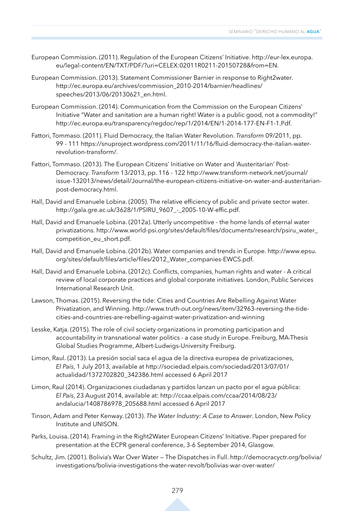- European Commission. (2011). Regulation of the European Citizens' Initiative. http://eur-lex.europa. eu/legal-content/EN/TXT/PDF/?uri=CELEX:02011R0211-20150728&from=EN.
- European Commission. (2013). Statement Commissioner Barnier in response to Right2water. http://ec.europa.eu/archives/commission\_2010-2014/barnier/headlines/ speeches/2013/06/20130621\_en.html.
- European Commission. (2014). Communication from the Commission on the European Citizens' Initiative "Water and sanitation are a human right! Water is a public good, not a commodity!" http://ec.europa.eu/transparency/regdoc/rep/1/2014/EN/1-2014-177-EN-F1-1.Pdf.
- Fattori, Tommaso. (2011). Fluid Democracy, the Italian Water Revolution. *Transform* 09/2011, pp. 99 - 111 https://snuproject.wordpress.com/2011/11/16/fluid-democracy-the-italian-waterrevolution-transform/.
- Fattori, Tommaso. (2013). The European Citizens' Initiative on Water and 'Austeritarian' Post-Democracy. *Transform* 13/2013, pp. 116 - 122 http://www.transform-network.net/journal/ issue-132013/news/detail/Journal/the-european-citizens-initiative-on-water-and-austeritarianpost-democracy.html.
- Hall, David and Emanuele Lobina. (2005). The relative efficiency of public and private sector water. http://gala.gre.ac.uk/3628/1/PSIRU\_9607\_-\_2005-10-W-effic.pdf.
- Hall, David and Emanuele Lobina. (2012a). Utterly uncompetitive the home lands of eternal water privatizations. http://www.world-psi.org/sites/default/files/documents/research/psiru\_water\_ competition\_eu\_short.pdf.
- Hall, David and Emanuele Lobina. (2012b). Water companies and trends in Europe. http://www.epsu. org/sites/default/files/article/files/2012\_Water\_companies-EWCS.pdf.
- Hall, David and Emanuele Lobina. (2012c). Conflicts, companies, human rights and water A critical review of local corporate practices and global corporate initiatives. London, Public Services International Research Unit.
- Lawson, Thomas. (2015). Reversing the tide: Cities and Countries Are Rebelling Against Water Privatization, and Winning. http://www.truth-out.org/news/item/32963-reversing-the-tidecities-and-countries-are-rebelling-against-water-privatization-and-winning
- Lesske, Katja. (2015). The role of civil society organizations in promoting participation and accountability in transnational water politics - a case study in Europe. Freiburg, MA-Thesis Global Studies Programme, Albert-Ludwigs-University Freiburg.
- Limon, Raul. (2013). La presión social saca el agua de la directiva europea de privatizaciones, *El País*, 1 July 2013, available at http://sociedad.elpais.com/sociedad/2013/07/01/ actualidad/1372702820\_342386.html accessed 6 April 2017
- Limon, Raul (2014). Organizaciones ciudadanas y partidos lanzan un pacto por el agua pública: *El País*, 23 August 2014, available at: http://ccaa.elpais.com/ccaa/2014/08/23/ andalucia/1408786978\_205688.html accessed 6 April 2017
- Tinson, Adam and Peter Kenway. (2013). *The Water Industry: A Case to Answer*. London, New Policy Institute and UNISON.
- Parks, Louisa. (2014). Framing in the Right2Water European Citizens' Initiative. Paper prepared for presentation at the ECPR general conference, 3-6 September 2014, Glasgow.
- Schultz, Jim. (2001). Bolivia's War Over Water The Dispatches in Full. http://democracyctr.org/bolivia/ investigations/bolivia-investigations-the-water-revolt/bolivias-war-over-water/